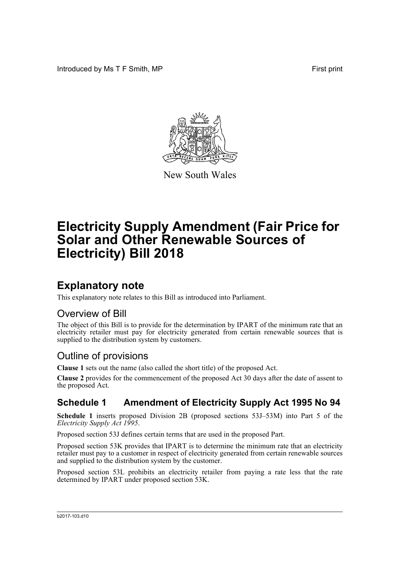Introduced by Ms T F Smith, MP **First print** First print



New South Wales

# **Electricity Supply Amendment (Fair Price for Solar and Other Renewable Sources of Electricity) Bill 2018**

### **Explanatory note**

This explanatory note relates to this Bill as introduced into Parliament.

#### Overview of Bill

The object of this Bill is to provide for the determination by IPART of the minimum rate that an electricity retailer must pay for electricity generated from certain renewable sources that is supplied to the distribution system by customers.

### Outline of provisions

**Clause 1** sets out the name (also called the short title) of the proposed Act.

**Clause 2** provides for the commencement of the proposed Act 30 days after the date of assent to the proposed Act.

#### **Schedule 1 Amendment of Electricity Supply Act 1995 No 94**

**Schedule 1** inserts proposed Division 2B (proposed sections 53J–53M) into Part 5 of the *Electricity Supply Act 1995*.

Proposed section 53J defines certain terms that are used in the proposed Part.

Proposed section 53K provides that IPART is to determine the minimum rate that an electricity retailer must pay to a customer in respect of electricity generated from certain renewable sources and supplied to the distribution system by the customer.

Proposed section 53L prohibits an electricity retailer from paying a rate less that the rate determined by IPART under proposed section 53K.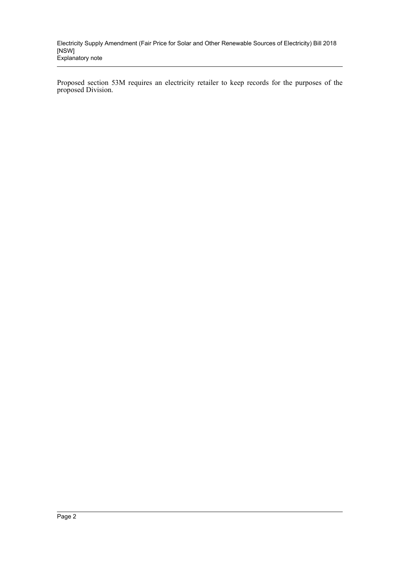Electricity Supply Amendment (Fair Price for Solar and Other Renewable Sources of Electricity) Bill 2018 [NSW] Explanatory note

Proposed section 53M requires an electricity retailer to keep records for the purposes of the proposed Division.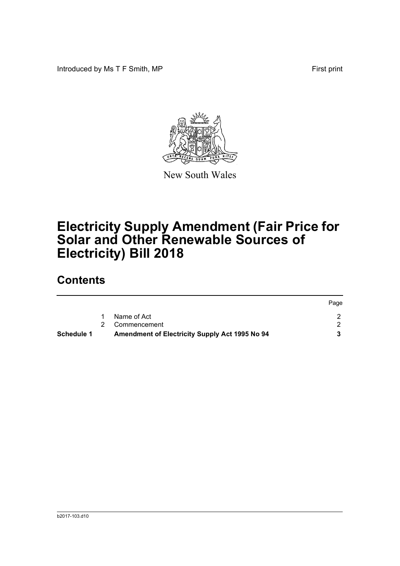Introduced by Ms T F Smith, MP First print



New South Wales

# **Electricity Supply Amendment (Fair Price for Solar and Other Renewable Sources of Electricity) Bill 2018**

### **Contents**

| Schedule 1 | <b>Amendment of Electricity Supply Act 1995 No 94</b> |      |
|------------|-------------------------------------------------------|------|
|            | 2 Commencement                                        |      |
|            | Name of Act                                           |      |
|            |                                                       | Page |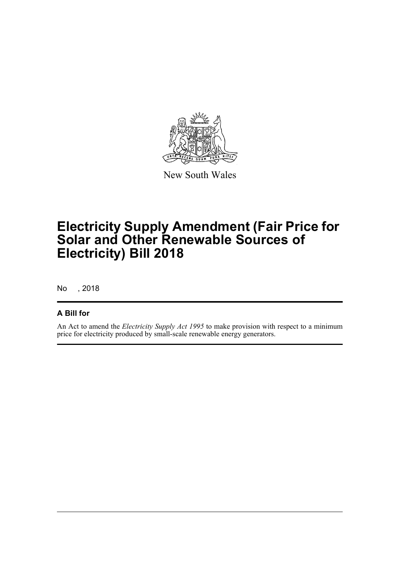

New South Wales

## **Electricity Supply Amendment (Fair Price for Solar and Other Renewable Sources of Electricity) Bill 2018**

No , 2018

#### **A Bill for**

An Act to amend the *Electricity Supply Act 1995* to make provision with respect to a minimum price for electricity produced by small-scale renewable energy generators.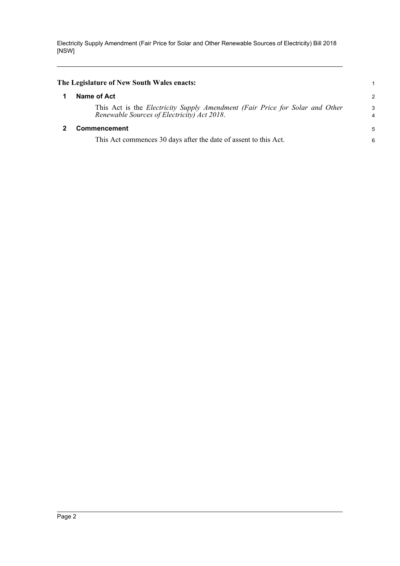Electricity Supply Amendment (Fair Price for Solar and Other Renewable Sources of Electricity) Bill 2018 [NSW]

<span id="page-4-1"></span><span id="page-4-0"></span>

| 2      |
|--------|
| 3<br>4 |
| 5      |
| 6      |
|        |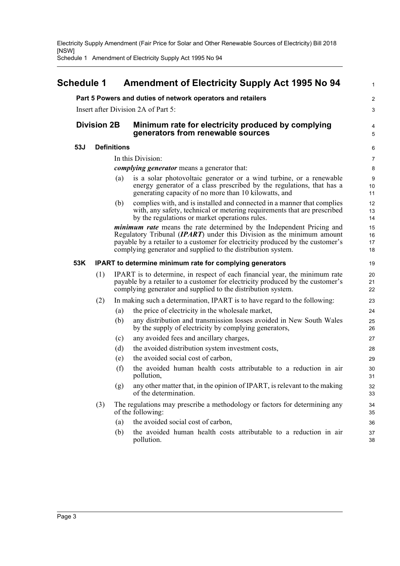Electricity Supply Amendment (Fair Price for Solar and Other Renewable Sources of Electricity) Bill 2018 [NSW]

Schedule 1 Amendment of Electricity Supply Act 1995 No 94

<span id="page-5-0"></span>

| <b>Schedule 1</b> |                                     |     |                    | <b>Amendment of Electricity Supply Act 1995 No 94</b>                                                                                                                                                                                                                                                                | 1                    |  |  |  |  |  |
|-------------------|-------------------------------------|-----|--------------------|----------------------------------------------------------------------------------------------------------------------------------------------------------------------------------------------------------------------------------------------------------------------------------------------------------------------|----------------------|--|--|--|--|--|
|                   |                                     |     |                    | Part 5 Powers and duties of network operators and retailers                                                                                                                                                                                                                                                          | $\overline{c}$       |  |  |  |  |  |
|                   | Insert after Division 2A of Part 5: |     |                    |                                                                                                                                                                                                                                                                                                                      |                      |  |  |  |  |  |
|                   | <b>Division 2B</b>                  |     |                    | Minimum rate for electricity produced by complying<br>generators from renewable sources                                                                                                                                                                                                                              |                      |  |  |  |  |  |
|                   | 53J                                 |     | <b>Definitions</b> |                                                                                                                                                                                                                                                                                                                      | 6                    |  |  |  |  |  |
|                   |                                     |     |                    | In this Division:                                                                                                                                                                                                                                                                                                    | 7                    |  |  |  |  |  |
|                   |                                     |     |                    | complying generator means a generator that:                                                                                                                                                                                                                                                                          | 8                    |  |  |  |  |  |
|                   |                                     |     | (a)                | is a solar photovoltaic generator or a wind turbine, or a renewable<br>energy generator of a class prescribed by the regulations, that has a<br>generating capacity of no more than 10 kilowatts, and                                                                                                                | 9<br>10<br>11        |  |  |  |  |  |
|                   |                                     |     | (b)                | complies with, and is installed and connected in a manner that complies<br>with, any safety, technical or metering requirements that are prescribed<br>by the regulations or market operations rules.                                                                                                                | 12<br>13<br>14       |  |  |  |  |  |
|                   |                                     |     |                    | <i>minimum rate</i> means the rate determined by the Independent Pricing and<br>Regulatory Tribunal ( $\mathbf{IPART}$ ) under this Division as the minimum amount<br>payable by a retailer to a customer for electricity produced by the customer's<br>complying generator and supplied to the distribution system. | 15<br>16<br>17<br>18 |  |  |  |  |  |
|                   | 53K                                 |     |                    | <b>IPART</b> to determine minimum rate for complying generators                                                                                                                                                                                                                                                      | 19                   |  |  |  |  |  |
|                   |                                     | (1) |                    | IPART is to determine, in respect of each financial year, the minimum rate<br>payable by a retailer to a customer for electricity produced by the customer's<br>complying generator and supplied to the distribution system.                                                                                         | 20<br>21<br>22       |  |  |  |  |  |
|                   |                                     | (2) |                    | In making such a determination, IPART is to have regard to the following:                                                                                                                                                                                                                                            | 23                   |  |  |  |  |  |
|                   |                                     |     | (a)                | the price of electricity in the wholesale market,                                                                                                                                                                                                                                                                    | 24                   |  |  |  |  |  |
|                   |                                     |     | (b)                | any distribution and transmission losses avoided in New South Wales<br>by the supply of electricity by complying generators,                                                                                                                                                                                         | 25<br>26             |  |  |  |  |  |
|                   |                                     |     | (c)                | any avoided fees and ancillary charges,                                                                                                                                                                                                                                                                              | 27                   |  |  |  |  |  |
|                   |                                     |     | (d)                | the avoided distribution system investment costs,                                                                                                                                                                                                                                                                    | 28                   |  |  |  |  |  |
|                   |                                     |     | (e)                | the avoided social cost of carbon,                                                                                                                                                                                                                                                                                   | 29                   |  |  |  |  |  |
|                   |                                     |     | (f)                | the avoided human health costs attributable to a reduction in air<br>pollution,                                                                                                                                                                                                                                      | 30<br>31             |  |  |  |  |  |
|                   |                                     |     | (g)                | any other matter that, in the opinion of IPART, is relevant to the making<br>of the determination.                                                                                                                                                                                                                   | 32<br>33             |  |  |  |  |  |
|                   |                                     | (3) |                    | The regulations may prescribe a methodology or factors for determining any<br>of the following:                                                                                                                                                                                                                      | 34<br>35             |  |  |  |  |  |
|                   |                                     |     | (a)                | the avoided social cost of carbon,                                                                                                                                                                                                                                                                                   | 36                   |  |  |  |  |  |
|                   |                                     |     | (b)                | the avoided human health costs attributable to a reduction in air<br>pollution.                                                                                                                                                                                                                                      | 37<br>38             |  |  |  |  |  |